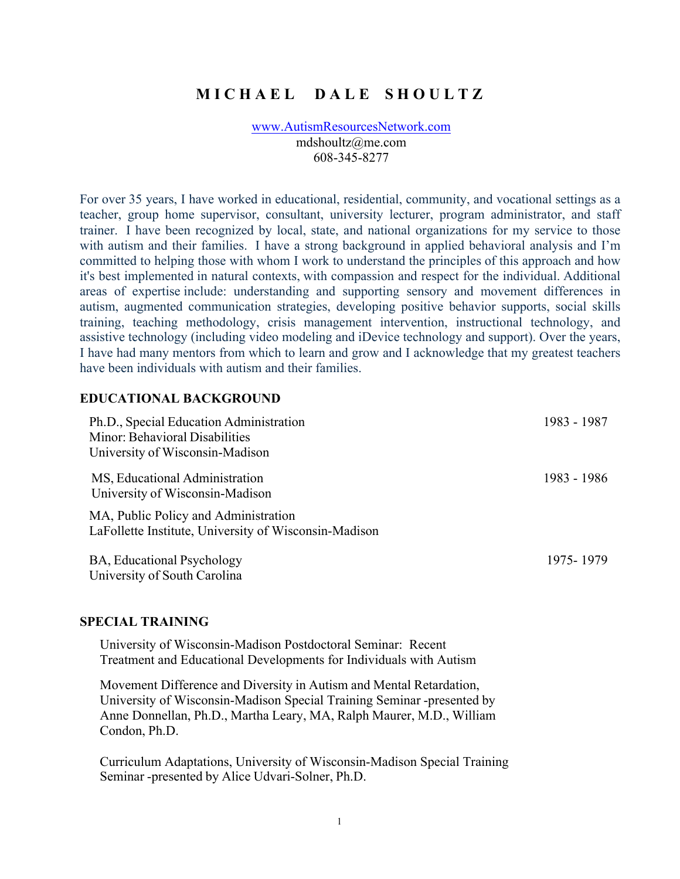# **M I C H A E L D A L E S H O U L T Z**

www.AutismResourcesNetwork.com mdshoultz@me.com 608-345-8277

For over 35 years, I have worked in educational, residential, community, and vocational settings as a teacher, group home supervisor, consultant, university lecturer, program administrator, and staff trainer. I have been recognized by local, state, and national organizations for my service to those with autism and their families. I have a strong background in applied behavioral analysis and I'm committed to helping those with whom I work to understand the principles of this approach and how it's best implemented in natural contexts, with compassion and respect for the individual. Additional areas of expertise include: understanding and supporting sensory and movement differences in autism, augmented communication strategies, developing positive behavior supports, social skills training, teaching methodology, crisis management intervention, instructional technology, and assistive technology (including video modeling and iDevice technology and support). Over the years, I have had many mentors from which to learn and grow and I acknowledge that my greatest teachers have been individuals with autism and their families.

## **EDUCATIONAL BACKGROUND**

| Ph.D., Special Education Administration                                                       | 1983 - 1987 |
|-----------------------------------------------------------------------------------------------|-------------|
| Minor: Behavioral Disabilities                                                                |             |
| University of Wisconsin-Madison                                                               |             |
| MS, Educational Administration<br>University of Wisconsin-Madison                             | 1983 - 1986 |
| MA, Public Policy and Administration<br>LaFollette Institute, University of Wisconsin-Madison |             |
| BA, Educational Psychology<br>University of South Carolina                                    | 1975-1979   |

#### **SPECIAL TRAINING**

University of Wisconsin-Madison Postdoctoral Seminar: Recent Treatment and Educational Developments for Individuals with Autism

Movement Difference and Diversity in Autism and Mental Retardation, University of Wisconsin-Madison Special Training Seminar -presented by Anne Donnellan, Ph.D., Martha Leary, MA, Ralph Maurer, M.D., William Condon, Ph.D.

Curriculum Adaptations, University of Wisconsin-Madison Special Training Seminar -presented by Alice Udvari-Solner, Ph.D.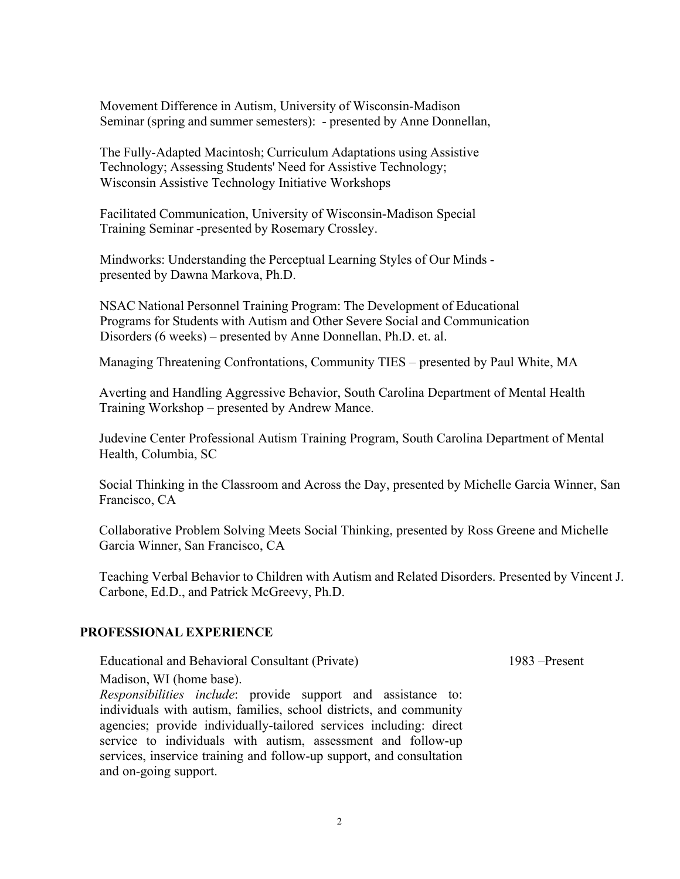Movement Difference in Autism, University of Wisconsin-Madison Seminar (spring and summer semesters): - presented by Anne Donnellan,

Wisconsin Assistive Technology Initiative Workshops The Fully-Adapted Macintosh; Curriculum Adaptations using Assistive Technology; Assessing Students' Need for Assistive Technology;

Facilitated Communication, University of Wisconsin-Madison Special Training Seminar -presented by Rosemary Crossley.

Mindworks: Understanding the Perceptual Learning Styles of Our Minds presented by Dawna Markova, Ph.D.

NSAC National Personnel Training Program: The Development of Educational Programs for Students with Autism and Other Severe Social and Communication Disorders (6 weeks) – presented by Anne Donnellan, Ph.D. et. al.

Managing Threatening Confrontations, Community TIES – presented by Paul White, MA

Averting and Handling Aggressive Behavior, South Carolina Department of Mental Health Training Workshop – presented by Andrew Mance.

Judevine Center Professional Autism Training Program, South Carolina Department of Mental Health, Columbia, SC

Social Thinking in the Classroom and Across the Day, presented by Michelle Garcia Winner, San Francisco, CA

Collaborative Problem Solving Meets Social Thinking, presented by Ross Greene and Michelle Garcia Winner, San Francisco, CA

Teaching Verbal Behavior to Children with Autism and Related Disorders. Presented by Vincent J. Carbone, Ed.D., and Patrick McGreevy, Ph.D.

## **PROFESSIONAL EXPERIENCE**

Educational and Behavioral Consultant (Private) 1983 – Present

Madison, WI (home base).

*Responsibilities include*: provide support and assistance to: individuals with autism, families, school districts, and community agencies; provide individually-tailored services including: direct service to individuals with autism, assessment and follow-up services, inservice training and follow-up support, and consultation and on-going support.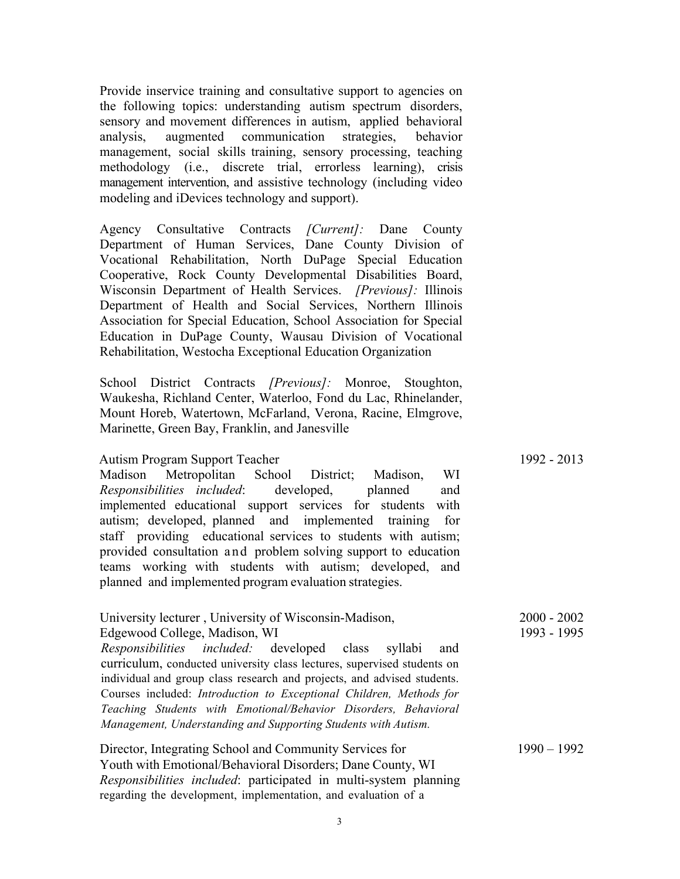Provide inservice training and consultative support to agencies on the following topics: understanding autism spectrum disorders, sensory and movement differences in autism, applied behavioral analysis, augmented communication strategies, behavior management, social skills training, sensory processing, teaching methodology (i.e., discrete trial, errorless learning), crisis management intervention, and assistive technology (including video modeling and iDevices technology and support).

Agency Consultative Contracts *[Current]:* Dane County Department of Human Services, Dane County Division of Vocational Rehabilitation, North DuPage Special Education Cooperative, Rock County Developmental Disabilities Board, Wisconsin Department of Health Services. *[Previous]:* Illinois Department of Health and Social Services, Northern Illinois Association for Special Education, School Association for Special Education in DuPage County, Wausau Division of Vocational Rehabilitation, Westocha Exceptional Education Organization

School District Contracts *[Previous]:* Monroe, Stoughton, Waukesha, Richland Center, Waterloo, Fond du Lac, Rhinelander, Mount Horeb, Watertown, McFarland, Verona, Racine, Elmgrove, Marinette, Green Bay, Franklin, and Janesville

#### Autism Program Support Teacher 1992 - 2013

Madison Metropolitan School District; Madison, WI *Responsibilities included*: developed, planned and implemented educational support services for students with autism; developed, planned and implemented training for staff providing educational services to students with autism; provided consultation and problem solving support to education teams working with students with autism; developed, and planned and implemented program evaluation strategies.

| University lecturer, University of Wisconsin-Madison,                                                                                | $2000 - 2002$ |
|--------------------------------------------------------------------------------------------------------------------------------------|---------------|
| Edgewood College, Madison, WI                                                                                                        | 1993 - 1995   |
| Responsibilities included: developed class syllabi<br>and<br>curriculum, conducted university class lectures, supervised students on |               |
| individual and group class research and projects, and advised students.                                                              |               |
|                                                                                                                                      |               |
| Courses included: Introduction to Exceptional Children, Methods for                                                                  |               |
| Teaching Students with Emotional/Behavior Disorders, Behavioral                                                                      |               |
| Management, Understanding and Supporting Students with Autism.                                                                       |               |
| Director, Integrating School and Community Services for                                                                              | $1990 - 1992$ |
| Youth with Emotional/Behavioral Disorders; Dane County, WI                                                                           |               |
| <i>Responsibilities included</i> : participated in multi-system planning                                                             |               |
| regarding the development, implementation, and evaluation of a                                                                       |               |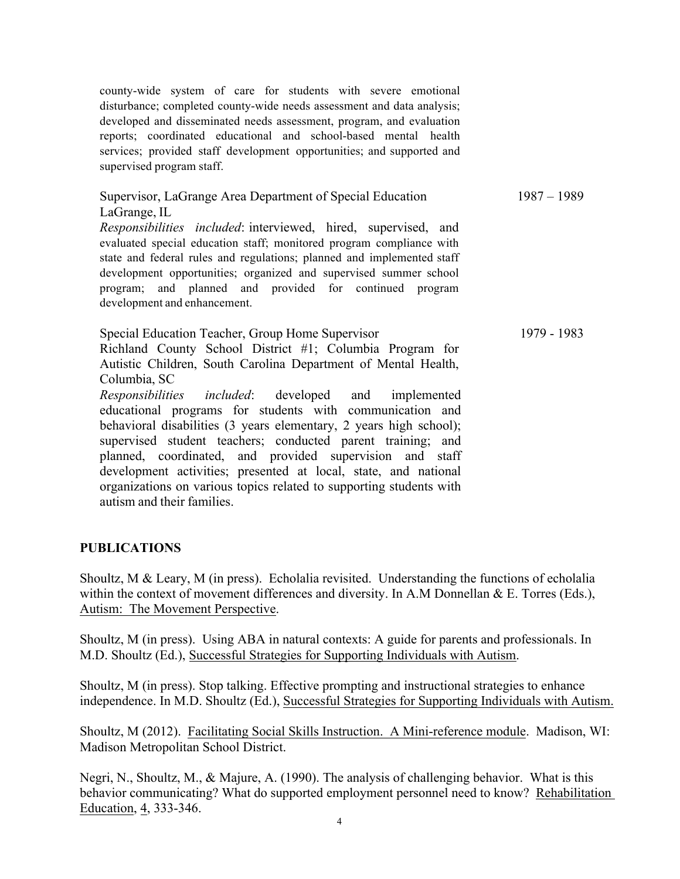county-wide system of care for students with severe emotional disturbance; completed county-wide needs assessment and data analysis; developed and disseminated needs assessment, program, and evaluation reports; coordinated educational and school-based mental health services; provided staff development opportunities; and supported and supervised program staff.

| Supervisor, LaGrange Area Department of Special Education                                                                                                                                                                                                                                                                                                                        | $1987 - 1989$ |
|----------------------------------------------------------------------------------------------------------------------------------------------------------------------------------------------------------------------------------------------------------------------------------------------------------------------------------------------------------------------------------|---------------|
| LaGrange, IL                                                                                                                                                                                                                                                                                                                                                                     |               |
| Responsibilities included: interviewed, hired, supervised, and<br>evaluated special education staff; monitored program compliance with<br>state and federal rules and regulations; planned and implemented staff<br>development opportunities; organized and supervised summer school<br>program; and planned and provided for continued program<br>development and enhancement. |               |
| Special Education Teacher, Group Home Supervisor<br>Richland County School District #1; Columbia Program for<br>Autistic Children, South Carolina Department of Mental Health,<br>Columbia, SC                                                                                                                                                                                   | 1979 - 1983   |

*Responsibilities included*: developed and implemented educational programs for students with communication and behavioral disabilities (3 years elementary, 2 years high school); supervised student teachers; conducted parent training; and planned, coordinated, and provided supervision and staff development activities; presented at local, state, and national organizations on various topics related to supporting students with autism and their families.

## **PUBLICATIONS**

Shoultz, M & Leary, M (in press). Echolalia revisited. Understanding the functions of echolalia within the context of movement differences and diversity. In A.M Donnellan  $&\&E$ . Torres (Eds.), Autism: The Movement Perspective.

Shoultz, M (in press). Using ABA in natural contexts: A guide for parents and professionals. In M.D. Shoultz (Ed.), Successful Strategies for Supporting Individuals with Autism.

Shoultz, M (in press). Stop talking. Effective prompting and instructional strategies to enhance independence. In M.D. Shoultz (Ed.), Successful Strategies for Supporting Individuals with Autism.

Shoultz, M (2012). Facilitating Social Skills Instruction. A Mini-reference module. Madison, WI: Madison Metropolitan School District.

Negri, N., Shoultz, M., & Majure, A. (1990). The analysis of challenging behavior. What is this behavior communicating? What do supported employment personnel need to know? Rehabilitation Education, 4, 333-346.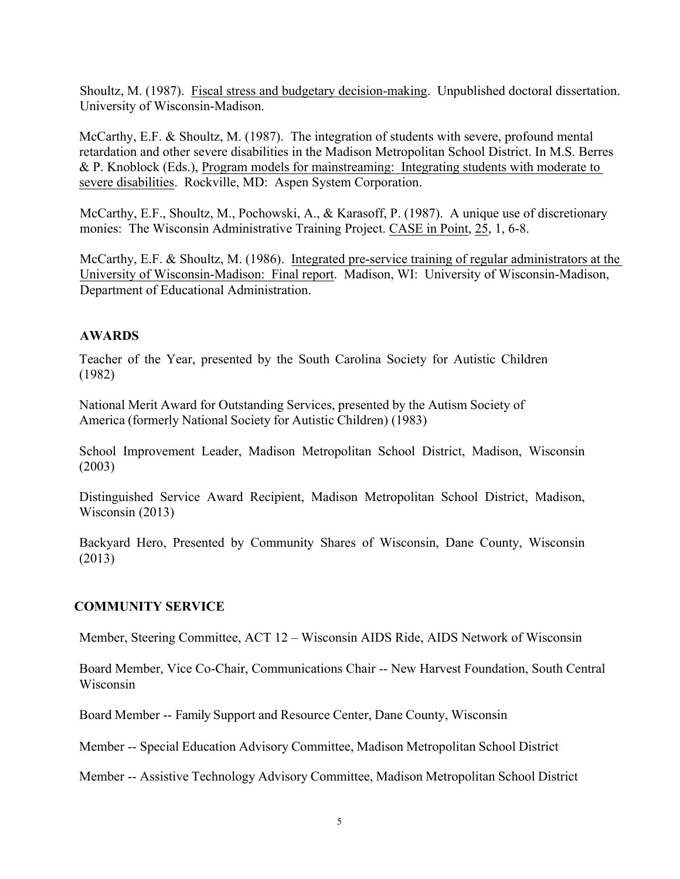Shoultz, M. (1987). Fiscal stress and budgetary decision-making. Unpublished doctoral dissertation. University of Wisconsin-Madison.

McCarthy, E.F. & Shoultz, M. (1987). The integration of students with severe, profound mental retardation and other severe disabilities in the Madison Metropolitan School District. In M.S. Berres & P. Knoblock (Eds.), Program models for mainstreaming: Integrating students with moderate to severe disabilities. Rockville, MD: Aspen System Corporation.

McCarthy, E.F., Shoultz, M., Pochowski, A., & Karasoff, P. (1987). A unique use of discretionary monies: The Wisconsin Administrative Training Project. CASE in Point, 25, 1, 6-8.

McCarthy, E.F. & Shoultz, M. (1986). Integrated pre-service training of regular administrators at the University of Wisconsin-Madison: Final report. Madison, WI: University of Wisconsin-Madison, Department of Educational Administration.

# **AWARDS**

Teacher of the Year, presented by the South Carolina Society for Autistic Children (1982)

National Merit Award for Outstanding Services, presented by the Autism Society of America (formerly National Society for Autistic Children) (1983)

School Improvement Leader, Madison Metropolitan School District, Madison, Wisconsin (2003)

Distinguished Service Award Recipient, Madison Metropolitan School District, Madison, Wisconsin (2013)

Backyard Hero, Presented by Community Shares of Wisconsin, Dane County, Wisconsin (2013)

# **COMMUNITY SERVICE**

Member, Steering Committee, ACT 12 – Wisconsin AIDS Ride, AIDS Network of Wisconsin

Board Member, Vice Co-Chair, Communications Chair -- New Harvest Foundation, South Central Wisconsin

Board Member -- Family Support and Resource Center, Dane County, Wisconsin

Member -- Special Education Advisory Committee, Madison Metropolitan School District

Member -- Assistive Technology Advisory Committee, Madison Metropolitan School District